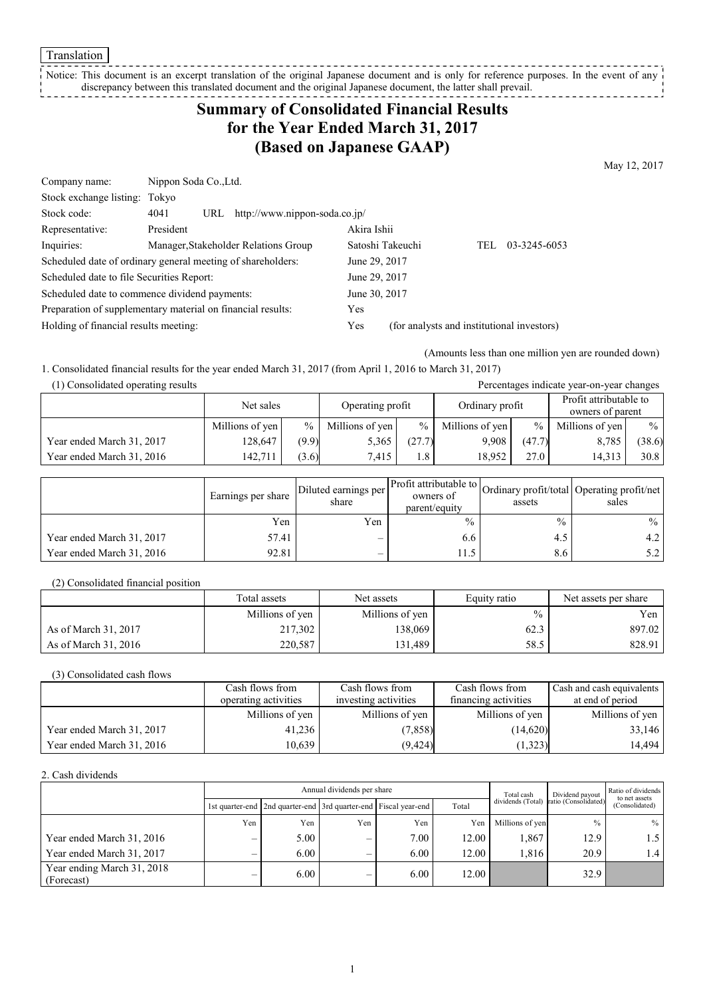Translation

Notice: This document is an excerpt translation of the original Japanese document and is only for reference purposes. In the event of any discrepancy between this translated document and the original Japanese document, the latter shall prevail. 

# **Summary of Consolidated Financial Results for the Year Ended March 31, 2017 (Based on Japanese GAAP)**

May 12, 2017

| Company name:                                               | Nippon Soda Co., Ltd.                |                                   |                  |                                            |      |              |
|-------------------------------------------------------------|--------------------------------------|-----------------------------------|------------------|--------------------------------------------|------|--------------|
| Stock exchange listing:                                     | Tokvo                                |                                   |                  |                                            |      |              |
| Stock code:                                                 | 4041                                 | URL http://www.nippon-soda.co.jp/ |                  |                                            |      |              |
| Representative:                                             | President                            |                                   | Akira Ishii      |                                            |      |              |
| Inquiries:                                                  | Manager, Stakeholder Relations Group |                                   | Satoshi Takeuchi |                                            | TEL. | 03-3245-6053 |
| Scheduled date of ordinary general meeting of shareholders: |                                      |                                   | June 29, 2017    |                                            |      |              |
| Scheduled date to file Securities Report:                   |                                      |                                   | June 29, 2017    |                                            |      |              |
| Scheduled date to commence dividend payments:               |                                      |                                   | June 30, 2017    |                                            |      |              |
| Preparation of supplementary material on financial results: |                                      | Yes                               |                  |                                            |      |              |
| Holding of financial results meeting:                       |                                      |                                   | Yes              | (for analysts and institutional investors) |      |              |

(Amounts less than one million yen are rounded down)

1. Consolidated financial results for the year ended March 31, 2017 (from April 1, 2016 to March 31, 2017)

| (1) Consolidated operating results<br>Percentages indicate year-on-year changes |                 |               |                  |               |                 |        |                                            |        |
|---------------------------------------------------------------------------------|-----------------|---------------|------------------|---------------|-----------------|--------|--------------------------------------------|--------|
|                                                                                 | Net sales       |               | Operating profit |               | Ordinary profit |        | Profit attributable to<br>owners of parent |        |
|                                                                                 | Millions of yen | $\frac{0}{0}$ | Millions of yen  | $\frac{0}{0}$ | Millions of yen | $\%$   | Millions of yen                            | $\%$   |
| Year ended March 31, 2017                                                       | 128.647         | (9.9)         | 5,365            | (27.7)        | 9.908           | (47.7) | 8,785                                      | (38.6) |
| Year ended March 31, 2016                                                       | 142.711         | (3.6)         | 7.415            | 1.8           | 18.952          | 27.0   | 14,313                                     | 30.8   |

|                           | Earnings per share | Diluted earnings per<br>share | parent/equity | assets | Profit attributable to Ordinary profit/total Operating profit/net '<br>sales |
|---------------------------|--------------------|-------------------------------|---------------|--------|------------------------------------------------------------------------------|
|                           | Yen                | Yen                           | $\frac{0}{0}$ | $\%$   | $\frac{0}{0}$                                                                |
| Year ended March 31, 2017 | 57.41              |                               | 6.6           | 4.5    |                                                                              |
| Year ended March 31, 2016 | 92.81              |                               |               | 8.6    |                                                                              |

(2) Consolidated financial position

|                      | Total assets    | Net assets      | Equity ratio  | Net assets per share |
|----------------------|-----------------|-----------------|---------------|----------------------|
|                      | Millions of yen | Millions of yen | $\frac{0}{0}$ | Yen l                |
| As of March 31, 2017 | 217,302         | 138,069         | 62.3          | 897.02               |
| As of March 31, 2016 | 220,587         | 131.489         | 58.5          | 828.91               |

(3) Consolidated cash flows

|                           | Cash flows from      | Cash flows from      | Cash flows from      | Cash and cash equivalents |
|---------------------------|----------------------|----------------------|----------------------|---------------------------|
|                           | operating activities | investing activities | financing activities | at end of period          |
|                           | Millions of yen      | Millions of yen      | Millions of yen      | Millions of yen           |
| Year ended March 31, 2017 | 41.236               | (7, 858)             | (14,620)             | 33,146                    |
| Year ended March 31, 2016 | 10.639               | (9, 424)             | (1,323)              | 14,494                    |

2. Cash dividends

|                                          |     |                                                                       | Annual dividends per share | Total cash | Dividend payout | Ratio of dividends<br>to net assets |                      |                  |  |
|------------------------------------------|-----|-----------------------------------------------------------------------|----------------------------|------------|-----------------|-------------------------------------|----------------------|------------------|--|
|                                          |     | 1st quarter-end   2nd quarter-end   3rd quarter-end   Fiscal year-end |                            |            | Total           | dividends (Total)                   | ratio (Consolidated) | (Consolidated)   |  |
|                                          | Yen | Yen                                                                   | Yen                        | Yen        | Yen             | Millions of yen                     | $\frac{0}{0}$        | $\%$             |  |
| Year ended March 31, 2016                |     | 5.00                                                                  | -                          | 7.00       | 12.00           | 1,867                               | 12.9                 | $1.5 \mid$       |  |
| Year ended March 31, 2017                |     | 6.00                                                                  |                            | 6.00       | 12.00           | 1.816                               | 20.9                 | 1.4 <sup>1</sup> |  |
| Year ending March 31, 2018<br>(Forecast) |     | 6.00                                                                  | -                          | 6.00       | 12.00           |                                     | 32.9                 |                  |  |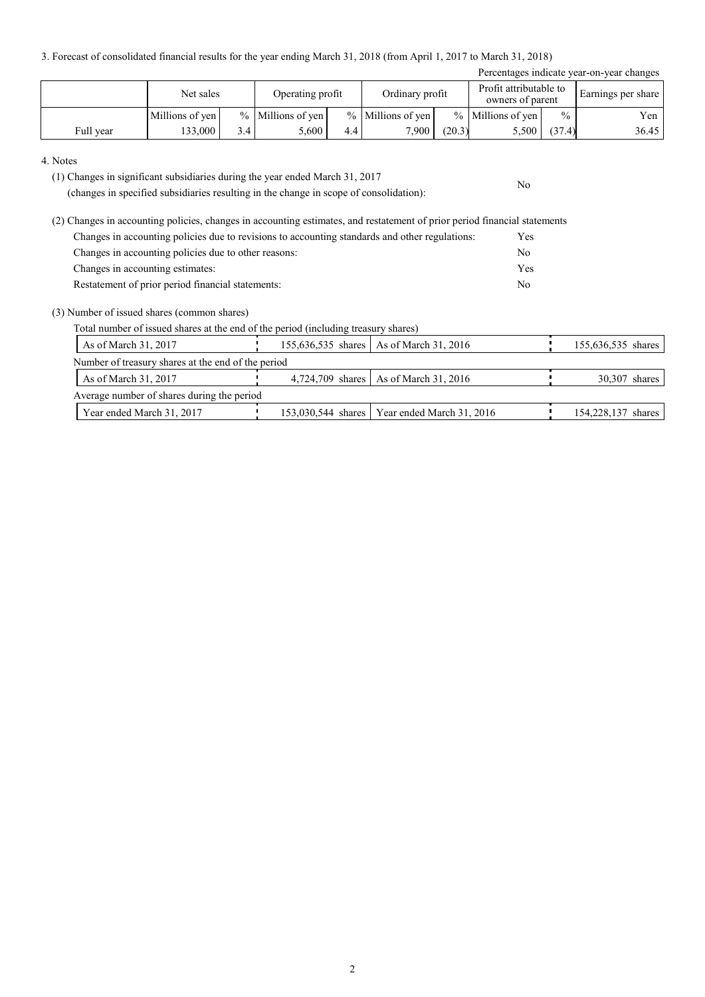3. Forecast of consolidated financial results for the year ending March 31, 2018 (from April 1, 2017 to March 31, 2018)

| Percentages indicate year-on-year changes |                 |     |                     |     |                     |        |                                            |               |                    |
|-------------------------------------------|-----------------|-----|---------------------|-----|---------------------|--------|--------------------------------------------|---------------|--------------------|
|                                           | Net sales       |     | Operating profit    |     | Ordinary profit     |        | Profit attributable to<br>owners of parent |               | Earnings per share |
|                                           | Millions of yen |     | $%$ Millions of yen |     | $%$ Millions of yen |        | $%$ Millions of yen                        | $\frac{0}{0}$ | Yen                |
| Full year                                 | 133.000         | 3.4 | 5.600               | 4.4 | 7.900               | (20.3) | 5,500                                      | (37.4)        | 36.45              |

No

#### 4. Notes

(1) Changes in significant subsidiaries during the year ended March 31, 2017

(changes in specified subsidiaries resulting in the change in scope of consolidation):

(2) Changes in accounting policies, changes in accounting estimates, and restatement of prior period financial statements Changes in accounting policies due to revisions to accounting standards and other regulations: Yes Changes in accounting policies due to other reasons: No Changes in accounting estimates: Yes Restatement of prior period financial statements: No

#### (3) Number of issued shares (common shares)

Total number of issued shares at the end of the period (including treasury shares)

| As of March 31, 2017                               |  |  |  | 155,636,535 shares   As of March 31, 2016      |  | 155,636,535 shares |  |  |
|----------------------------------------------------|--|--|--|------------------------------------------------|--|--------------------|--|--|
| Number of treasury shares at the end of the period |  |  |  |                                                |  |                    |  |  |
| As of March 31, 2017                               |  |  |  | 4,724,709 shares   As of March 31, 2016        |  | 30,307 shares      |  |  |
| Average number of shares during the period         |  |  |  |                                                |  |                    |  |  |
| Year ended March 31, 2017                          |  |  |  | 153,030,544 shares   Year ended March 31, 2016 |  | 154,228,137 shares |  |  |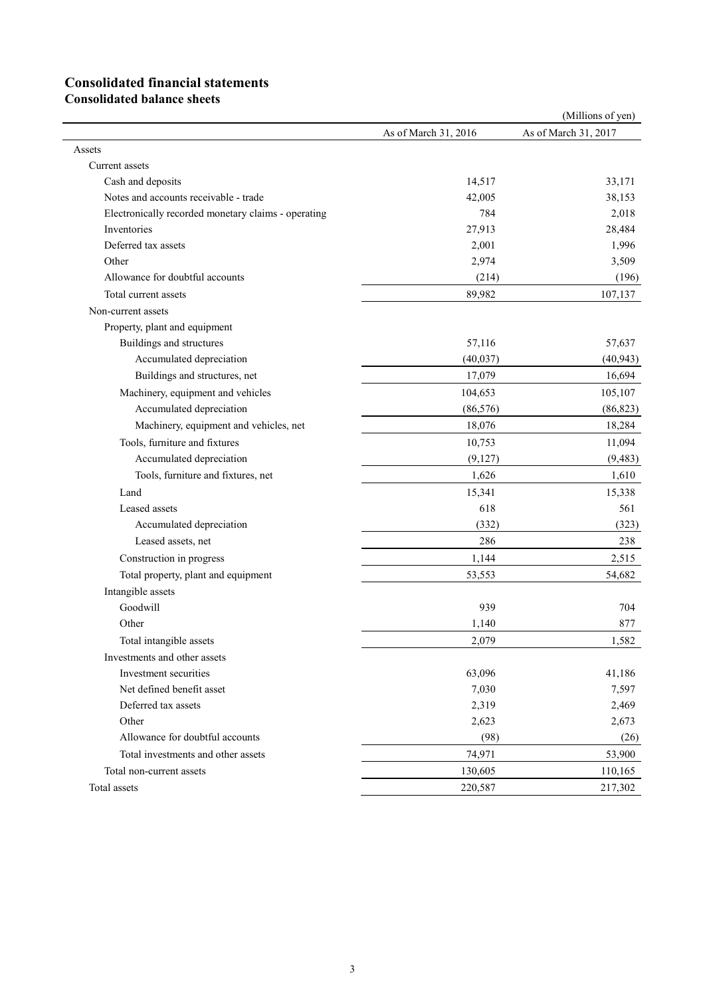# **Consolidated financial statements**

**Consolidated balance sheets**

|                                                     |                      | (Millions of yen)    |
|-----------------------------------------------------|----------------------|----------------------|
|                                                     | As of March 31, 2016 | As of March 31, 2017 |
| Assets                                              |                      |                      |
| Current assets                                      |                      |                      |
| Cash and deposits                                   | 14,517               | 33,171               |
| Notes and accounts receivable - trade               | 42,005               | 38,153               |
| Electronically recorded monetary claims - operating | 784                  | 2,018                |
| Inventories                                         | 27,913               | 28,484               |
| Deferred tax assets                                 | 2,001                | 1,996                |
| Other                                               | 2,974                | 3,509                |
| Allowance for doubtful accounts                     | (214)                | (196)                |
| Total current assets                                | 89,982               | 107,137              |
| Non-current assets                                  |                      |                      |
| Property, plant and equipment                       |                      |                      |
| Buildings and structures                            | 57,116               | 57,637               |
| Accumulated depreciation                            | (40, 037)            | (40, 943)            |
| Buildings and structures, net                       | 17,079               | 16,694               |
| Machinery, equipment and vehicles                   | 104,653              | 105,107              |
| Accumulated depreciation                            | (86, 576)            | (86, 823)            |
| Machinery, equipment and vehicles, net              | 18,076               | 18,284               |
| Tools, furniture and fixtures                       | 10,753               | 11,094               |
| Accumulated depreciation                            | (9,127)              | (9, 483)             |
| Tools, furniture and fixtures, net                  | 1,626                | 1,610                |
| Land                                                | 15,341               | 15,338               |
| Leased assets                                       | 618                  | 561                  |
| Accumulated depreciation                            | (332)                | (323)                |
| Leased assets, net                                  | 286                  | 238                  |
| Construction in progress                            | 1,144                | 2,515                |
| Total property, plant and equipment                 | 53,553               | 54,682               |
| Intangible assets                                   |                      |                      |
| Goodwill                                            | 939                  | 704                  |
| Other                                               | 1,140                | 877                  |
| Total intangible assets                             | 2,079                | 1,582                |
| Investments and other assets                        |                      |                      |
| Investment securities                               | 63,096               | 41,186               |
| Net defined benefit asset                           | 7,030                | 7,597                |
| Deferred tax assets                                 | 2,319                | 2,469                |
| Other                                               | 2,623                | 2,673                |
| Allowance for doubtful accounts                     | (98)                 | (26)                 |
| Total investments and other assets                  | 74,971               | 53,900               |
| Total non-current assets                            | 130,605              | 110,165              |
| Total assets                                        | 220,587              | 217,302              |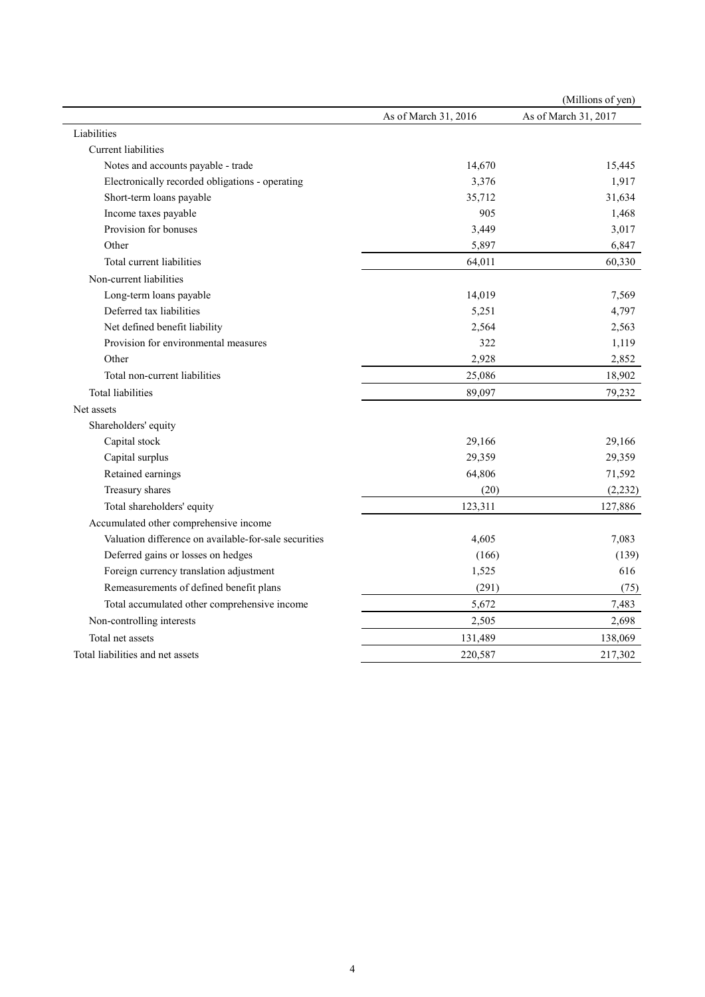|                                                       |                      | (Millions of yen)    |
|-------------------------------------------------------|----------------------|----------------------|
|                                                       | As of March 31, 2016 | As of March 31, 2017 |
| Liabilities                                           |                      |                      |
| Current liabilities                                   |                      |                      |
| Notes and accounts payable - trade                    | 14,670               | 15,445               |
| Electronically recorded obligations - operating       | 3,376                | 1,917                |
| Short-term loans payable                              | 35,712               | 31,634               |
| Income taxes payable                                  | 905                  | 1,468                |
| Provision for bonuses                                 | 3,449                | 3,017                |
| Other                                                 | 5,897                | 6,847                |
| Total current liabilities                             | 64,011               | 60,330               |
| Non-current liabilities                               |                      |                      |
| Long-term loans payable                               | 14,019               | 7,569                |
| Deferred tax liabilities                              | 5,251                | 4,797                |
| Net defined benefit liability                         | 2,564                | 2,563                |
| Provision for environmental measures                  | 322                  | 1,119                |
| Other                                                 | 2,928                | 2,852                |
| Total non-current liabilities                         | 25,086               | 18,902               |
| <b>Total liabilities</b>                              | 89,097               | 79,232               |
| Net assets                                            |                      |                      |
| Shareholders' equity                                  |                      |                      |
| Capital stock                                         | 29,166               | 29,166               |
| Capital surplus                                       | 29,359               | 29,359               |
| Retained earnings                                     | 64,806               | 71,592               |
| Treasury shares                                       | (20)                 | (2, 232)             |
| Total shareholders' equity                            | 123,311              | 127,886              |
| Accumulated other comprehensive income                |                      |                      |
| Valuation difference on available-for-sale securities | 4,605                | 7,083                |
| Deferred gains or losses on hedges                    | (166)                | (139)                |
| Foreign currency translation adjustment               | 1,525                | 616                  |
| Remeasurements of defined benefit plans               | (291)                | (75)                 |
| Total accumulated other comprehensive income          | 5,672                | 7,483                |
| Non-controlling interests                             | 2,505                | 2,698                |
| Total net assets                                      | 131,489              | 138,069              |
| Total liabilities and net assets                      | 220,587              | 217,302              |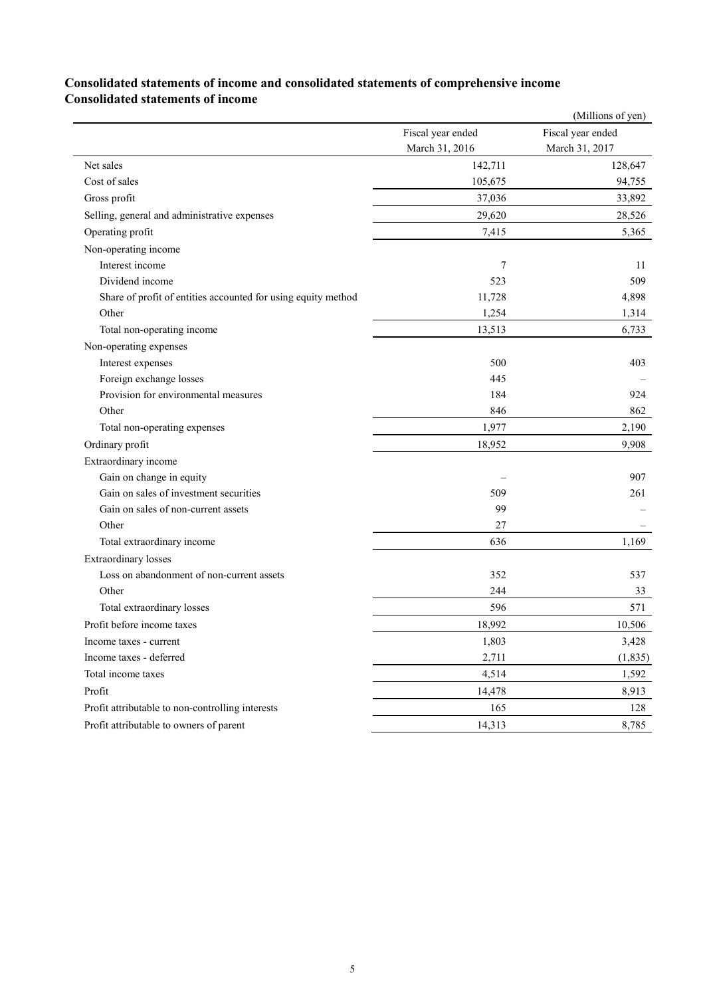### **Consolidated statements of income and consolidated statements of comprehensive income Consolidated statements of income**

|                                                               |                   | (Millions of yen) |
|---------------------------------------------------------------|-------------------|-------------------|
|                                                               | Fiscal year ended | Fiscal year ended |
|                                                               | March 31, 2016    | March 31, 2017    |
| Net sales                                                     | 142,711           | 128,647           |
| Cost of sales                                                 | 105,675           | 94,755            |
| Gross profit                                                  | 37,036            | 33,892            |
| Selling, general and administrative expenses                  | 29,620            | 28,526            |
| Operating profit                                              | 7,415             | 5,365             |
| Non-operating income                                          |                   |                   |
| Interest income                                               | 7                 | 11                |
| Dividend income                                               | 523               | 509               |
| Share of profit of entities accounted for using equity method | 11,728            | 4,898             |
| Other                                                         | 1,254             | 1,314             |
| Total non-operating income                                    | 13,513            | 6,733             |
| Non-operating expenses                                        |                   |                   |
| Interest expenses                                             | 500               | 403               |
| Foreign exchange losses                                       | 445               |                   |
| Provision for environmental measures                          | 184               | 924               |
| Other                                                         | 846               | 862               |
| Total non-operating expenses                                  | 1,977             | 2,190             |
| Ordinary profit                                               | 18,952            | 9,908             |
| Extraordinary income                                          |                   |                   |
| Gain on change in equity                                      |                   | 907               |
| Gain on sales of investment securities                        | 509               | 261               |
| Gain on sales of non-current assets                           | 99                |                   |
| Other                                                         | 27                |                   |
| Total extraordinary income                                    | 636               | 1,169             |
| <b>Extraordinary losses</b>                                   |                   |                   |
| Loss on abandonment of non-current assets                     | 352               | 537               |
| Other                                                         | 244               | 33                |
| Total extraordinary losses                                    | 596               | 571               |
| Profit before income taxes                                    | 18,992            | 10,506            |
| Income taxes - current                                        | 1,803             | 3,428             |
| Income taxes - deferred                                       | 2,711             | (1, 835)          |
| Total income taxes                                            | 4,514             | 1,592             |
| Profit                                                        | 14,478            | 8,913             |
| Profit attributable to non-controlling interests              | 165               | 128               |
| Profit attributable to owners of parent                       | 14,313            | 8,785             |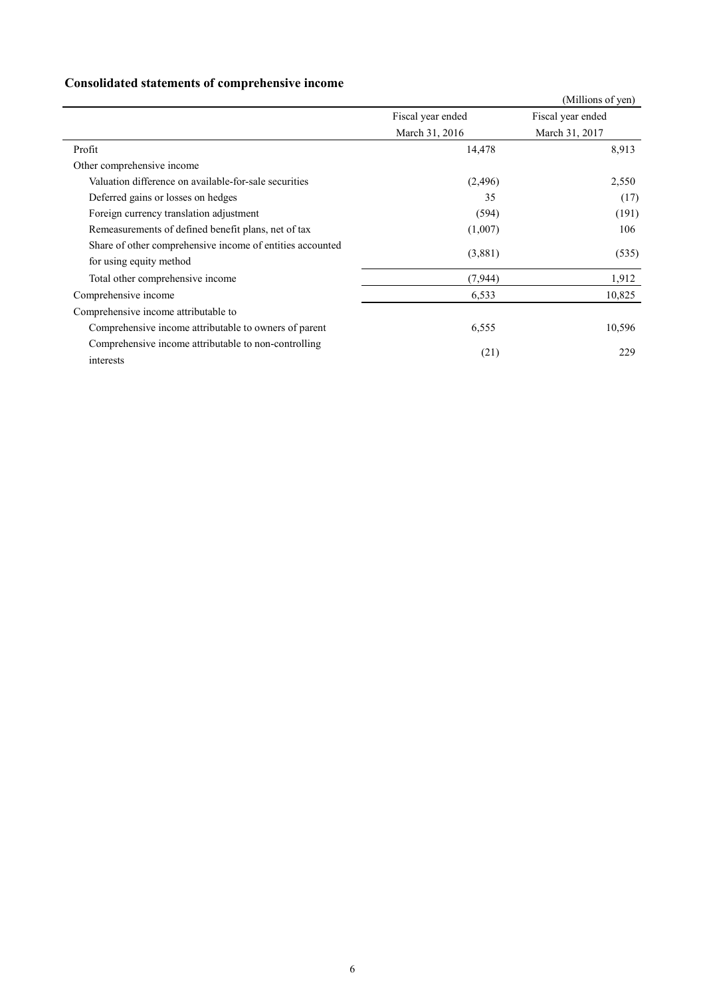## **Consolidated statements of comprehensive income**

|                                                           |                   | (Millions of yen) |
|-----------------------------------------------------------|-------------------|-------------------|
|                                                           | Fiscal year ended | Fiscal year ended |
|                                                           | March 31, 2016    | March 31, 2017    |
| Profit                                                    | 14,478            | 8,913             |
| Other comprehensive income                                |                   |                   |
| Valuation difference on available-for-sale securities     | (2,496)           | 2,550             |
| Deferred gains or losses on hedges                        | 35                | (17)              |
| Foreign currency translation adjustment                   | (594)             | (191)             |
| Remeasurements of defined benefit plans, net of tax       | (1,007)           | 106               |
| Share of other comprehensive income of entities accounted | (3,881)           | (535)             |
| for using equity method                                   |                   |                   |
| Total other comprehensive income                          | (7, 944)          | 1,912             |
| Comprehensive income                                      | 6,533             | 10,825            |
| Comprehensive income attributable to                      |                   |                   |
| Comprehensive income attributable to owners of parent     | 6,555             | 10,596            |
| Comprehensive income attributable to non-controlling      | (21)              | 229               |
| interests                                                 |                   |                   |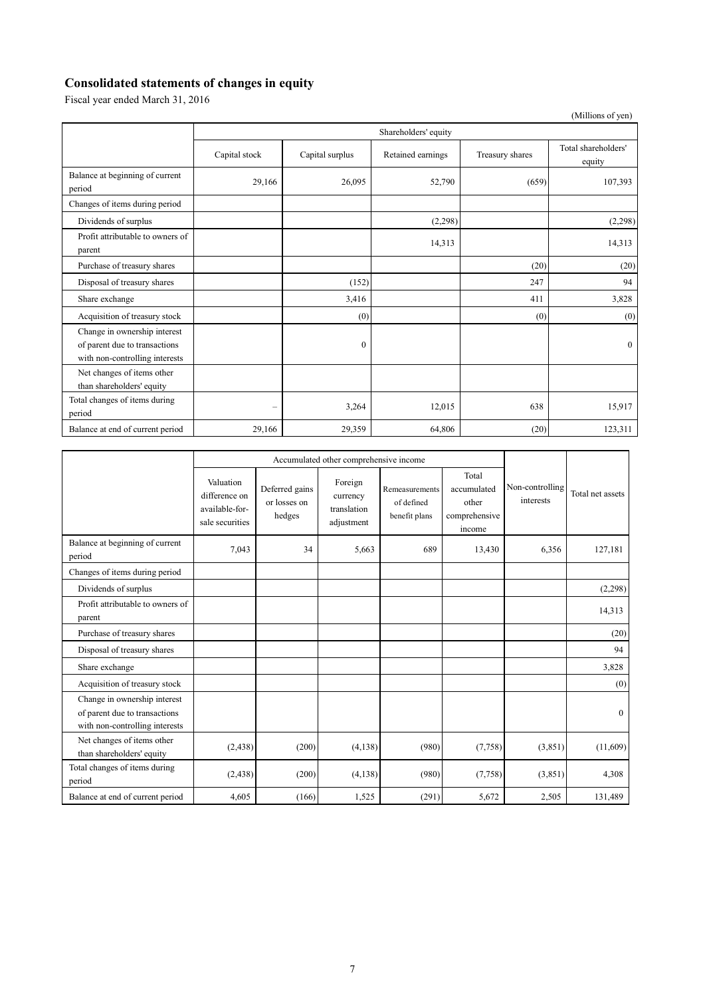## **Consolidated statements of changes in equity**

Fiscal year ended March 31, 2016

|                                                                                                 |                      |                 |                   |                 | (Millions of yen)             |  |  |
|-------------------------------------------------------------------------------------------------|----------------------|-----------------|-------------------|-----------------|-------------------------------|--|--|
|                                                                                                 | Shareholders' equity |                 |                   |                 |                               |  |  |
|                                                                                                 | Capital stock        | Capital surplus | Retained earnings | Treasury shares | Total shareholders'<br>equity |  |  |
| Balance at beginning of current<br>period                                                       | 29,166               | 26,095          | 52,790            | (659)           | 107,393                       |  |  |
| Changes of items during period                                                                  |                      |                 |                   |                 |                               |  |  |
| Dividends of surplus                                                                            |                      |                 | (2,298)           |                 | (2,298)                       |  |  |
| Profit attributable to owners of<br>parent                                                      |                      |                 | 14,313            |                 | 14,313                        |  |  |
| Purchase of treasury shares                                                                     |                      |                 |                   | (20)            | (20)                          |  |  |
| Disposal of treasury shares                                                                     |                      | (152)           |                   | 247             | 94                            |  |  |
| Share exchange                                                                                  |                      | 3,416           |                   | 411             | 3,828                         |  |  |
| Acquisition of treasury stock                                                                   |                      | (0)             |                   | (0)             | (0)                           |  |  |
| Change in ownership interest<br>of parent due to transactions<br>with non-controlling interests |                      | $\mathbf{0}$    |                   |                 | $\mathbf{0}$                  |  |  |
| Net changes of items other<br>than shareholders' equity                                         |                      |                 |                   |                 |                               |  |  |
| Total changes of items during<br>period                                                         | -                    | 3,264           | 12,015            | 638             | 15,917                        |  |  |
| Balance at end of current period                                                                | 29,166               | 29,359          | 64,806            | (20)            | 123,311                       |  |  |

|                                                                                                 | Accumulated other comprehensive income                          |                                          |                                                  |                                               |                                                          |                              |                  |
|-------------------------------------------------------------------------------------------------|-----------------------------------------------------------------|------------------------------------------|--------------------------------------------------|-----------------------------------------------|----------------------------------------------------------|------------------------------|------------------|
|                                                                                                 | Valuation<br>difference on<br>available-for-<br>sale securities | Deferred gains<br>or losses on<br>hedges | Foreign<br>currency<br>translation<br>adjustment | Remeasurements<br>of defined<br>benefit plans | Total<br>accumulated<br>other<br>comprehensive<br>income | Non-controlling<br>interests | Total net assets |
| Balance at beginning of current<br>period                                                       | 7,043                                                           | 34                                       | 5,663                                            | 689                                           | 13,430                                                   | 6,356                        | 127,181          |
| Changes of items during period                                                                  |                                                                 |                                          |                                                  |                                               |                                                          |                              |                  |
| Dividends of surplus                                                                            |                                                                 |                                          |                                                  |                                               |                                                          |                              | (2, 298)         |
| Profit attributable to owners of<br>parent                                                      |                                                                 |                                          |                                                  |                                               |                                                          |                              | 14,313           |
| Purchase of treasury shares                                                                     |                                                                 |                                          |                                                  |                                               |                                                          |                              | (20)             |
| Disposal of treasury shares                                                                     |                                                                 |                                          |                                                  |                                               |                                                          |                              | 94               |
| Share exchange                                                                                  |                                                                 |                                          |                                                  |                                               |                                                          |                              | 3,828            |
| Acquisition of treasury stock                                                                   |                                                                 |                                          |                                                  |                                               |                                                          |                              | (0)              |
| Change in ownership interest<br>of parent due to transactions<br>with non-controlling interests |                                                                 |                                          |                                                  |                                               |                                                          |                              | $\mathbf{0}$     |
| Net changes of items other<br>than shareholders' equity                                         | (2, 438)                                                        | (200)                                    | (4,138)                                          | (980)                                         | (7,758)                                                  | (3, 851)                     | (11,609)         |
| Total changes of items during<br>period                                                         | (2, 438)                                                        | (200)                                    | (4,138)                                          | (980)                                         | (7,758)                                                  | (3,851)                      | 4,308            |
| Balance at end of current period                                                                | 4,605                                                           | (166)                                    | 1,525                                            | (291)                                         | 5,672                                                    | 2,505                        | 131,489          |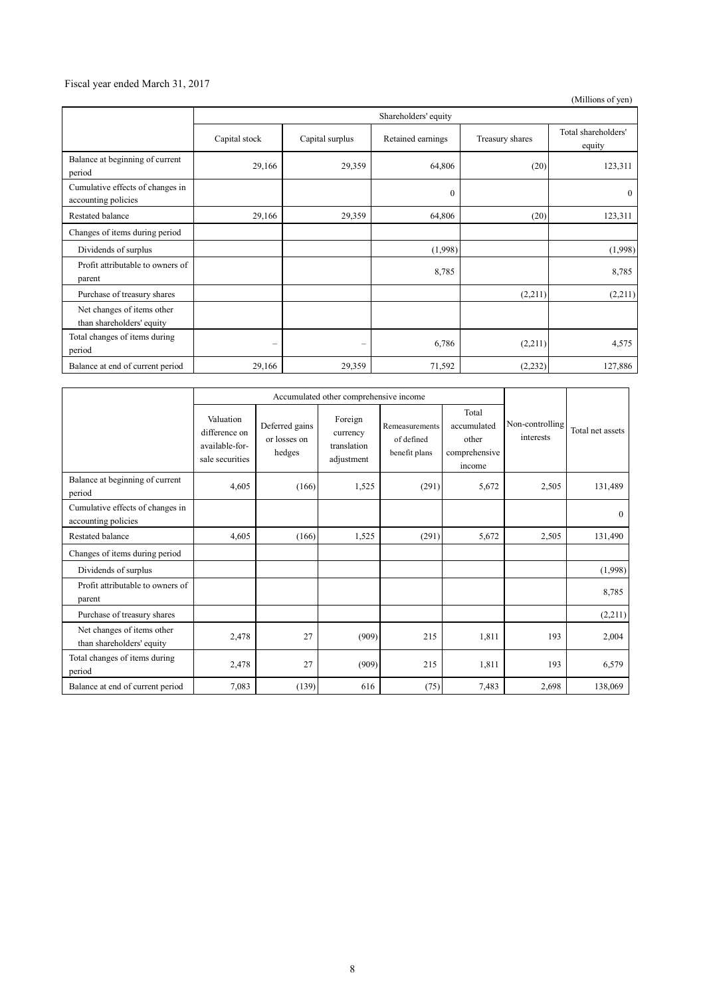### Fiscal year ended March 31, 2017

(Millions of yen)

|                                                         | Shareholders' equity |                 |                   |                 |                               |  |  |
|---------------------------------------------------------|----------------------|-----------------|-------------------|-----------------|-------------------------------|--|--|
|                                                         | Capital stock        | Capital surplus | Retained earnings | Treasury shares | Total shareholders'<br>equity |  |  |
| Balance at beginning of current<br>period               | 29,166               | 29,359          | 64,806            | (20)            | 123,311                       |  |  |
| Cumulative effects of changes in<br>accounting policies |                      |                 | $\mathbf{0}$      |                 | $\overline{0}$                |  |  |
| <b>Restated balance</b>                                 | 29,166               | 29,359          | 64,806            | (20)            | 123,311                       |  |  |
| Changes of items during period                          |                      |                 |                   |                 |                               |  |  |
| Dividends of surplus                                    |                      |                 | (1,998)           |                 | (1,998)                       |  |  |
| Profit attributable to owners of<br>parent              |                      |                 | 8,785             |                 | 8,785                         |  |  |
| Purchase of treasury shares                             |                      |                 |                   | (2,211)         | (2,211)                       |  |  |
| Net changes of items other<br>than shareholders' equity |                      |                 |                   |                 |                               |  |  |
| Total changes of items during<br>period                 | -                    | -               | 6,786             | (2,211)         | 4,575                         |  |  |
| Balance at end of current period                        | 29,166               | 29,359          | 71,592            | (2, 232)        | 127,886                       |  |  |

|                                                         | Accumulated other comprehensive income                          |                                          |                                                  |                                               |                                                          |                              |                  |
|---------------------------------------------------------|-----------------------------------------------------------------|------------------------------------------|--------------------------------------------------|-----------------------------------------------|----------------------------------------------------------|------------------------------|------------------|
|                                                         | Valuation<br>difference on<br>available-for-<br>sale securities | Deferred gains<br>or losses on<br>hedges | Foreign<br>currency<br>translation<br>adjustment | Remeasurements<br>of defined<br>benefit plans | Total<br>accumulated<br>other<br>comprehensive<br>income | Non-controlling<br>interests | Total net assets |
| Balance at beginning of current<br>period               | 4,605                                                           | (166)                                    | 1,525                                            | (291)                                         | 5,672                                                    | 2,505                        | 131,489          |
| Cumulative effects of changes in<br>accounting policies |                                                                 |                                          |                                                  |                                               |                                                          |                              | $\theta$         |
| <b>Restated balance</b>                                 | 4,605                                                           | (166)                                    | 1,525                                            | (291)                                         | 5,672                                                    | 2,505                        | 131,490          |
| Changes of items during period                          |                                                                 |                                          |                                                  |                                               |                                                          |                              |                  |
| Dividends of surplus                                    |                                                                 |                                          |                                                  |                                               |                                                          |                              | (1,998)          |
| Profit attributable to owners of<br>parent              |                                                                 |                                          |                                                  |                                               |                                                          |                              | 8,785            |
| Purchase of treasury shares                             |                                                                 |                                          |                                                  |                                               |                                                          |                              | (2,211)          |
| Net changes of items other<br>than shareholders' equity | 2,478                                                           | 27                                       | (909)                                            | 215                                           | 1,811                                                    | 193                          | 2,004            |
| Total changes of items during<br>period                 | 2,478                                                           | 27                                       | (909)                                            | 215                                           | 1,811                                                    | 193                          | 6,579            |
| Balance at end of current period                        | 7,083                                                           | (139)                                    | 616                                              | (75)                                          | 7,483                                                    | 2,698                        | 138,069          |